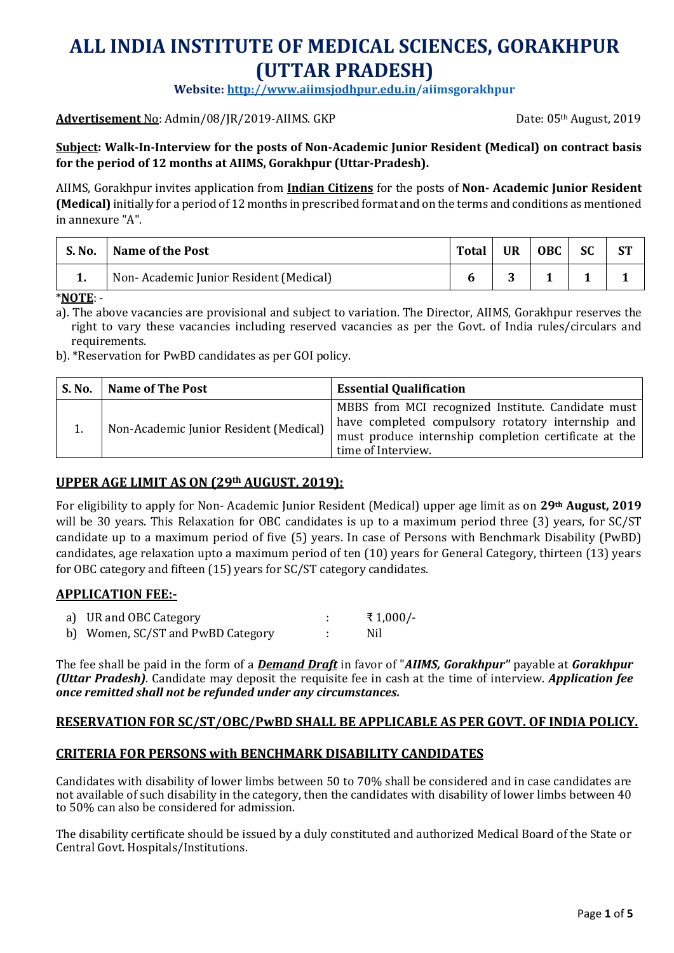# **ALL INDIA INSTITUTE OF MEDICAL SCIENCES, GORAKHPUR (UTTAR PRADESH)**

**Website[: http://www.aiimsjodhpur.edu.in/](http://www.aiimsjodhpur.edu.in/)aiimsgorakhpur**

#### **Advertisement** No: Admin/08/JR/2019-AIIMS. GKP Date: 05<sup>th</sup> August, 2019

#### **Subject: Walk-In-Interview for the posts of Non-Academic Junior Resident (Medical) on contract basis for the period of 12 months at AIIMS, Gorakhpur (Uttar-Pradesh).**

AIIMS, Gorakhpur invites application from **Indian Citizens** for the posts of **Non- Academic Junior Resident (Medical)** initially for a period of 12 months in prescribed format and on the terms and conditions as mentioned in annexure "A".

| S. No. | <b>Name of the Post</b>                | <b>Total</b> | UR | OBC | SC | ST |
|--------|----------------------------------------|--------------|----|-----|----|----|
| 1.     | Non-Academic Junior Resident (Medical) |              |    |     |    |    |

\***NOTE**: -

a). The above vacancies are provisional and subject to variation. The Director, AIIMS, Gorakhpur reserves the right to vary these vacancies including reserved vacancies as per the Govt. of India rules/circulars and requirements.

b). \*Reservation for PwBD candidates as per GOI policy.

| <b>S. No.</b> | <b>Name of The Post</b>                | <b>Essential Qualification</b>                                                                                                                                                         |
|---------------|----------------------------------------|----------------------------------------------------------------------------------------------------------------------------------------------------------------------------------------|
|               | Non-Academic Junior Resident (Medical) | MBBS from MCI recognized Institute. Candidate must<br>have completed compulsory rotatory internship and<br>must produce internship completion certificate at the<br>time of Interview. |

#### **UPPER AGE LIMIT AS ON (29th AUGUST, 2019):**

For eligibility to apply for Non- Academic Junior Resident (Medical) upper age limit as on **29th August, 2019** will be 30 years. This Relaxation for OBC candidates is up to a maximum period three (3) years, for SC/ST candidate up to a maximum period of five (5) years. In case of Persons with Benchmark Disability (PwBD) candidates, age relaxation upto a maximum period of ten (10) years for General Category, thirteen (13) years for OBC category and fifteen (15) years for SC/ST category candidates.

#### **APPLICATION FEE:-**

| a) UR and OBC Category            | ₹1,000/- |
|-----------------------------------|----------|
| b) Women, SC/ST and PwBD Category | Nil      |

The fee shall be paid in the form of a *Demand Draft* in favor of "*AIIMS, Gorakhpur"* payable at *Gorakhpur (Uttar Pradesh)*. Candidate may deposit the requisite fee in cash at the time of interview. *Application fee once remitted shall not be refunded under any circumstances.*

#### **RESERVATION FOR SC/ST/OBC/PwBD SHALL BE APPLICABLE AS PER GOVT. OF INDIA POLICY.**

#### **CRITERIA FOR PERSONS with BENCHMARK DISABILITY CANDIDATES**

Candidates with disability of lower limbs between 50 to 70% shall be considered and in case candidates are not available of such disability in the category, then the candidates with disability of lower limbs between 40 to 50% can also be considered for admission.

The disability certificate should be issued by a duly constituted and authorized Medical Board of the State or Central Govt. Hospitals/Institutions.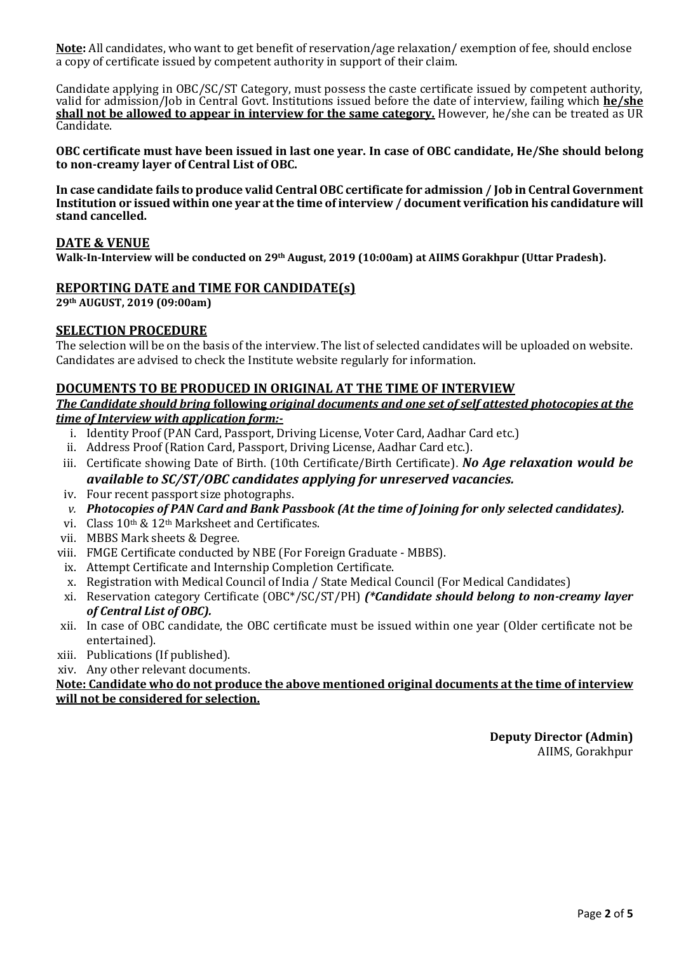**Note:** All candidates, who want to get benefit of reservation/age relaxation/ exemption of fee, should enclose a copy of certificate issued by competent authority in support of their claim.

Candidate applying in OBC/SC/ST Category, must possess the caste certificate issued by competent authority, valid for admission/Job in Central Govt. Institutions issued before the date of interview, failing which **he/she shall not be allowed to appear in interview for the same category.** However, he/she can be treated as UR Candidate.

**OBC certificate must have been issued in last one year. In case of OBC candidate, He/She should belong to non-creamy layer of Central List of OBC.**

**In case candidate fails to produce valid Central OBC certificate for admission / Job in Central Government Institution or issued within one year at the time of interview / document verification his candidature will stand cancelled.**

#### **DATE & VENUE**

**Walk-In-Interview will be conducted on 29th August, 2019 (10:00am) at AIIMS Gorakhpur (Uttar Pradesh).**

#### **REPORTING DATE and TIME FOR CANDIDATE(s)**

**29th AUGUST, 2019 (09:00am)**

#### **SELECTION PROCEDURE**

The selection will be on the basis of the interview. The list of selected candidates will be uploaded on website. Candidates are advised to check the Institute website regularly for information.

#### **DOCUMENTS TO BE PRODUCED IN ORIGINAL AT THE TIME OF INTERVIEW**

#### *The Candidate should bring* **following** *original documents and one set of self attested photocopies at the time of Interview with application form:-*

- i. Identity Proof (PAN Card, Passport, Driving License, Voter Card, Aadhar Card etc.)
- ii. Address Proof (Ration Card, Passport, Driving License, Aadhar Card etc.).
- iii. Certificate showing Date of Birth. (10th Certificate/Birth Certificate). *No Age relaxation would be available to SC/ST/OBC candidates applying for unreserved vacancies.*
- iv. Four recent passport size photographs.
- *v. Photocopies of PAN Card and Bank Passbook (At the time of Joining for only selected candidates).*
- vi. Class 10th & 12th Marksheet and Certificates.
- vii. MBBS Mark sheets & Degree.
- viii. FMGE Certificate conducted by NBE (For Foreign Graduate MBBS).
- ix. Attempt Certificate and Internship Completion Certificate.
- x. Registration with Medical Council of India / State Medical Council (For Medical Candidates)
- xi. Reservation category Certificate (OBC\*/SC/ST/PH) *(\*Candidate should belong to non-creamy layer of Central List of OBC).*
- xii. In case of OBC candidate, the OBC certificate must be issued within one year (Older certificate not be entertained).
- xiii. Publications (If published).
- xiv. Any other relevant documents.

#### **Note: Candidate who do not produce the above mentioned original documents at the time of interview will not be considered for selection.**

**Deputy Director (Admin)** AIIMS, Gorakhpur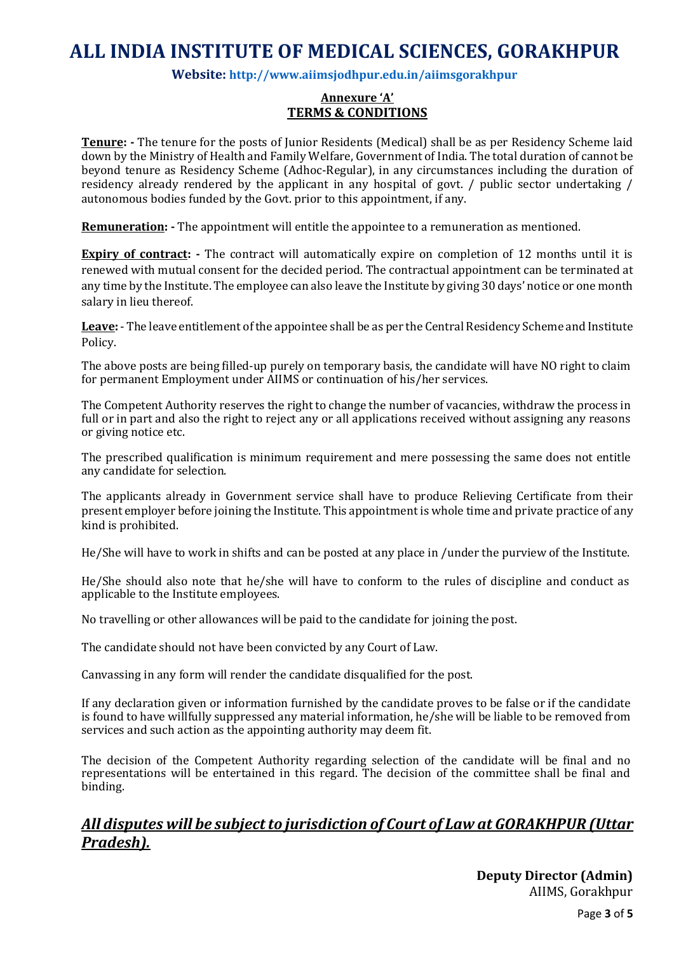## **ALL INDIA INSTITUTE OF MEDICAL SCIENCES, GORAKHPUR**

#### **Website: <http://www.aiimsjodhpur.edu.in/>aiimsgorakhpur**

#### **Annexure 'A' TERMS & CONDITIONS**

**Tenure: -** The tenure for the posts of Junior Residents (Medical) shall be as per Residency Scheme laid down by the Ministry of Health and Family Welfare, Government of India. The total duration of cannot be beyond tenure as Residency Scheme (Adhoc-Regular), in any circumstances including the duration of residency already rendered by the applicant in any hospital of govt. / public sector undertaking / autonomous bodies funded by the Govt. prior to this appointment, if any.

**Remuneration: -** The appointment will entitle the appointee to a remuneration as mentioned.

**Expiry of contract:** - The contract will automatically expire on completion of 12 months until it is renewed with mutual consent for the decided period. The contractual appointment can be terminated at any time by the Institute. The employee can also leave the Institute by giving 30 days' notice or one month salary in lieu thereof.

**Leave:** - The leave entitlement of the appointee shall be as per the Central Residency Scheme and Institute Policy.

The above posts are being filled-up purely on temporary basis, the candidate will have NO right to claim for permanent Employment under AIIMS or continuation of his/her services.

The Competent Authority reserves the right to change the number of vacancies, withdraw the process in full or in part and also the right to reject any or all applications received without assigning any reasons or giving notice etc.

The prescribed qualification is minimum requirement and mere possessing the same does not entitle any candidate for selection.

The applicants already in Government service shall have to produce Relieving Certificate from their present employer before joining the Institute. This appointment is whole time and private practice of any kind is prohibited.

He/She will have to work in shifts and can be posted at any place in /under the purview of the Institute.

He/She should also note that he/she will have to conform to the rules of discipline and conduct as applicable to the Institute employees.

No travelling or other allowances will be paid to the candidate for joining the post.

The candidate should not have been convicted by any Court of Law.

Canvassing in any form will render the candidate disqualified for the post.

If any declaration given or information furnished by the candidate proves to be false or if the candidate is found to have willfully suppressed any material information, he/she will be liable to be removed from services and such action as the appointing authority may deem fit.

The decision of the Competent Authority regarding selection of the candidate will be final and no representations will be entertained in this regard. The decision of the committee shall be final and binding.

### *All disputes will be subject to jurisdiction of Court of Law at GORAKHPUR (Uttar Pradesh).*

**Deputy Director (Admin)** AIIMS, Gorakhpur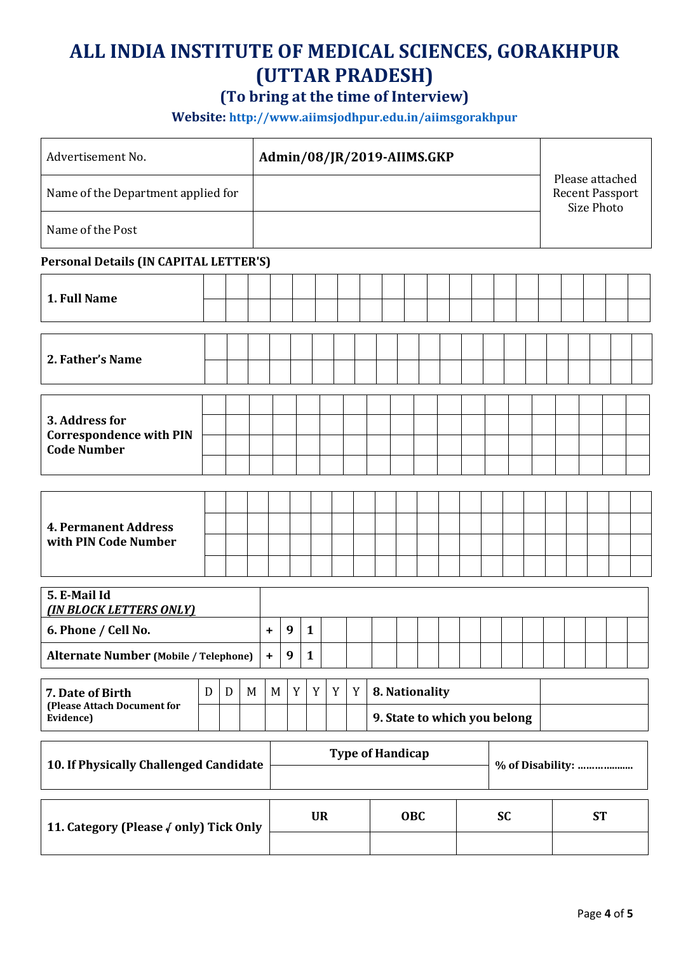# **ALL INDIA INSTITUTE OF MEDICAL SCIENCES, GORAKHPUR (UTTAR PRADESH)**

## **(To bring at the time of Interview)**

**Website: <http://www.aiimsjodhpur.edu.in/>aiimsgorakhpur**

| Advertisement No.                                                      |  |   | Admin/08/JR/2019-AIIMS.GKP |           |                         |              |   |   |  |                                                |  |  |  |  |                  |           |  |  |                                                         |  |  |  |  |  |
|------------------------------------------------------------------------|--|---|----------------------------|-----------|-------------------------|--------------|---|---|--|------------------------------------------------|--|--|--|--|------------------|-----------|--|--|---------------------------------------------------------|--|--|--|--|--|
| Name of the Department applied for                                     |  |   |                            |           |                         |              |   |   |  |                                                |  |  |  |  |                  |           |  |  | Please attached<br><b>Recent Passport</b><br>Size Photo |  |  |  |  |  |
| Name of the Post                                                       |  |   |                            |           |                         |              |   |   |  |                                                |  |  |  |  |                  |           |  |  |                                                         |  |  |  |  |  |
| Personal Details (IN CAPITAL LETTER'S)                                 |  |   |                            |           |                         |              |   |   |  |                                                |  |  |  |  |                  |           |  |  |                                                         |  |  |  |  |  |
| 1. Full Name                                                           |  |   |                            |           |                         |              |   |   |  |                                                |  |  |  |  |                  |           |  |  |                                                         |  |  |  |  |  |
| 2. Father's Name                                                       |  |   |                            |           |                         |              |   |   |  |                                                |  |  |  |  |                  |           |  |  |                                                         |  |  |  |  |  |
| 3. Address for<br><b>Correspondence with PIN</b><br><b>Code Number</b> |  |   |                            |           |                         |              |   |   |  |                                                |  |  |  |  |                  |           |  |  |                                                         |  |  |  |  |  |
| <b>4. Permanent Address</b><br>with PIN Code Number                    |  |   |                            |           |                         |              |   |   |  |                                                |  |  |  |  |                  |           |  |  |                                                         |  |  |  |  |  |
| 5. E-Mail Id<br><b>(IN BLOCK LETTERS ONLY)</b>                         |  |   |                            |           |                         |              |   |   |  |                                                |  |  |  |  |                  |           |  |  |                                                         |  |  |  |  |  |
| 6. Phone / Cell No.                                                    |  |   |                            | ٠         | 9                       | $\mathbf{1}$ |   |   |  |                                                |  |  |  |  |                  |           |  |  |                                                         |  |  |  |  |  |
| <b>Alternate Number (Mobile / Telephone)</b>                           |  |   |                            | $\ddot{}$ | 9                       | $\mathbf{1}$ |   |   |  |                                                |  |  |  |  |                  |           |  |  |                                                         |  |  |  |  |  |
| D<br>7. Date of Birth<br>(Please Attach Document for<br>Evidence)      |  | D | M                          | M         | Y                       | Y            | Y | Y |  | 8. Nationality<br>9. State to which you belong |  |  |  |  |                  |           |  |  |                                                         |  |  |  |  |  |
| 10. If Physically Challenged Candidate                                 |  |   |                            |           | <b>Type of Handicap</b> |              |   |   |  |                                                |  |  |  |  | % of Disability: |           |  |  |                                                         |  |  |  |  |  |
| 11. Category (Please Oonly) Tick Only                                  |  |   |                            |           |                         | <b>UR</b>    |   |   |  | OBC<br><b>SC</b>                               |  |  |  |  |                  | <b>ST</b> |  |  |                                                         |  |  |  |  |  |